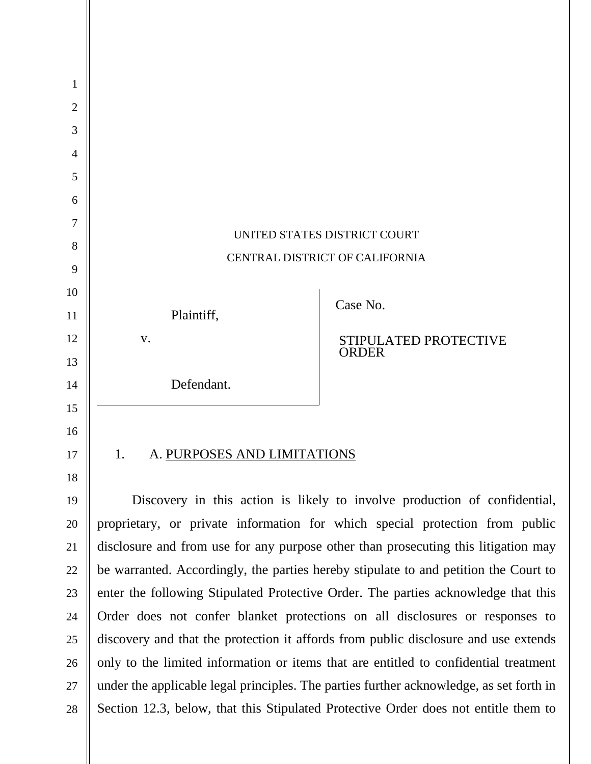

28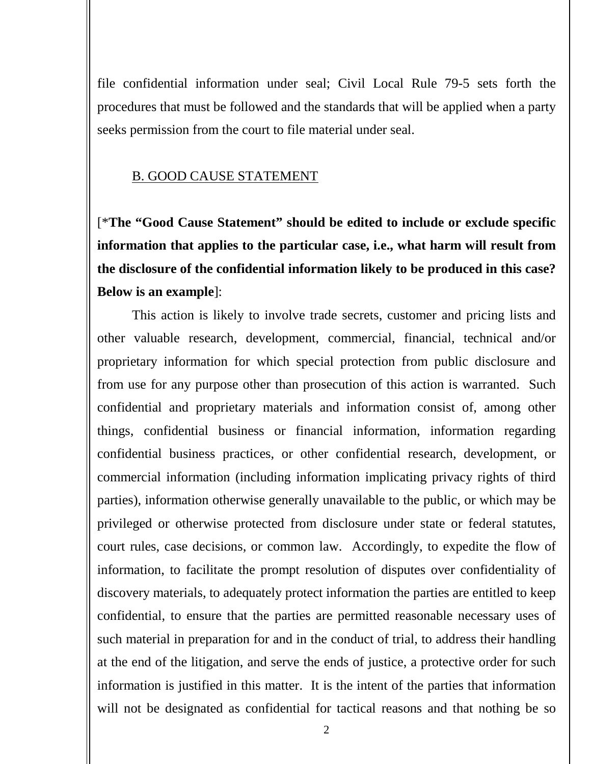file confidential information under seal; Civil Local Rule 79-5 sets forth the procedures that must be followed and the standards that will be applied when a party seeks permission from the court to file material under seal.

#### B. GOOD CAUSE STATEMENT

[\***The "Good Cause Statement" should be edited to include or exclude specific information that applies to the particular case, i.e., what harm will result from the disclosure of the confidential information likely to be produced in this case? Below is an example**]:

This action is likely to involve trade secrets, customer and pricing lists and other valuable research, development, commercial, financial, technical and/or proprietary information for which special protection from public disclosure and from use for any purpose other than prosecution of this action is warranted. Such confidential and proprietary materials and information consist of, among other things, confidential business or financial information, information regarding confidential business practices, or other confidential research, development, or commercial information (including information implicating privacy rights of third parties), information otherwise generally unavailable to the public, or which may be privileged or otherwise protected from disclosure under state or federal statutes, court rules, case decisions, or common law. Accordingly, to expedite the flow of information, to facilitate the prompt resolution of disputes over confidentiality of discovery materials, to adequately protect information the parties are entitled to keep confidential, to ensure that the parties are permitted reasonable necessary uses of such material in preparation for and in the conduct of trial, to address their handling at the end of the litigation, and serve the ends of justice, a protective order for such information is justified in this matter. It is the intent of the parties that information will not be designated as confidential for tactical reasons and that nothing be so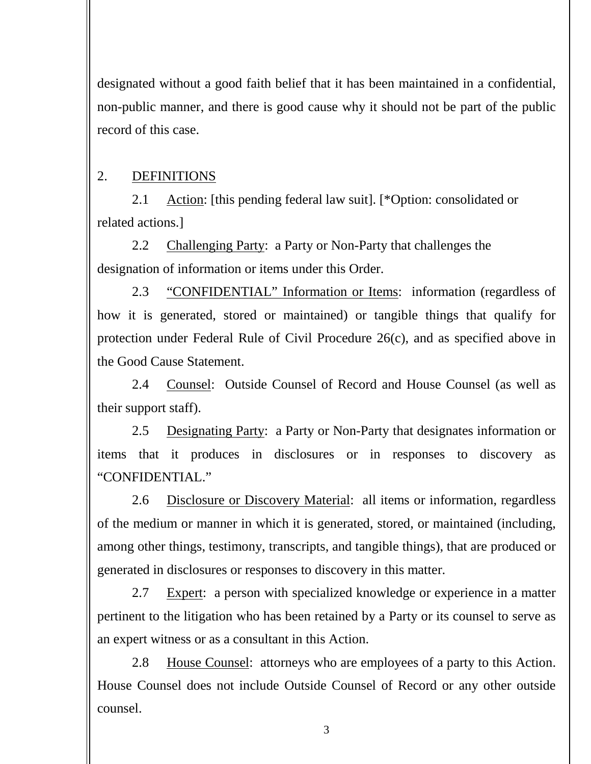designated without a good faith belief that it has been maintained in a confidential, non-public manner, and there is good cause why it should not be part of the public record of this case.

# 2. DEFINITIONS

2.1 Action: [this pending federal law suit]. [\*Option: consolidated or related actions.]

2.2 Challenging Party: a Party or Non-Party that challenges the designation of information or items under this Order.

2.3 "CONFIDENTIAL" Information or Items: information (regardless of how it is generated, stored or maintained) or tangible things that qualify for protection under Federal Rule of Civil Procedure 26(c), and as specified above in the Good Cause Statement.

2.4 Counsel: Outside Counsel of Record and House Counsel (as well as their support staff).

2.5 Designating Party: a Party or Non-Party that designates information or items that it produces in disclosures or in responses to discovery as "CONFIDENTIAL."

2.6 Disclosure or Discovery Material: all items or information, regardless of the medium or manner in which it is generated, stored, or maintained (including, among other things, testimony, transcripts, and tangible things), that are produced or generated in disclosures or responses to discovery in this matter.

2.7 Expert: a person with specialized knowledge or experience in a matter pertinent to the litigation who has been retained by a Party or its counsel to serve as an expert witness or as a consultant in this Action.

2.8 House Counsel: attorneys who are employees of a party to this Action. House Counsel does not include Outside Counsel of Record or any other outside counsel.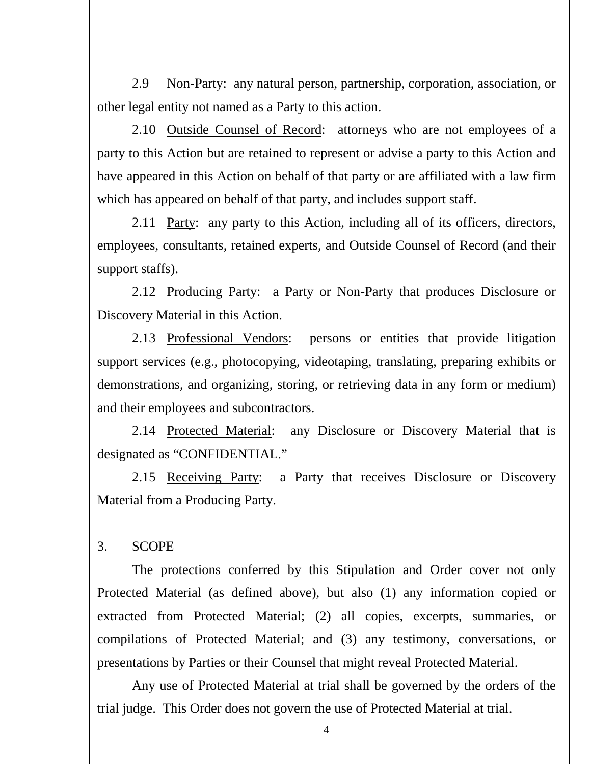2.9 Non-Party: any natural person, partnership, corporation, association, or other legal entity not named as a Party to this action.

2.10 Outside Counsel of Record: attorneys who are not employees of a party to this Action but are retained to represent or advise a party to this Action and have appeared in this Action on behalf of that party or are affiliated with a law firm which has appeared on behalf of that party, and includes support staff.

2.11 Party: any party to this Action, including all of its officers, directors, employees, consultants, retained experts, and Outside Counsel of Record (and their support staffs).

2.12 Producing Party: a Party or Non-Party that produces Disclosure or Discovery Material in this Action.

2.13 Professional Vendors: persons or entities that provide litigation support services (e.g., photocopying, videotaping, translating, preparing exhibits or demonstrations, and organizing, storing, or retrieving data in any form or medium) and their employees and subcontractors.

2.14 Protected Material: any Disclosure or Discovery Material that is designated as "CONFIDENTIAL."

2.15 Receiving Party: a Party that receives Disclosure or Discovery Material from a Producing Party.

#### 3. SCOPE

The protections conferred by this Stipulation and Order cover not only Protected Material (as defined above), but also (1) any information copied or extracted from Protected Material; (2) all copies, excerpts, summaries, or compilations of Protected Material; and (3) any testimony, conversations, or presentations by Parties or their Counsel that might reveal Protected Material.

Any use of Protected Material at trial shall be governed by the orders of the trial judge. This Order does not govern the use of Protected Material at trial.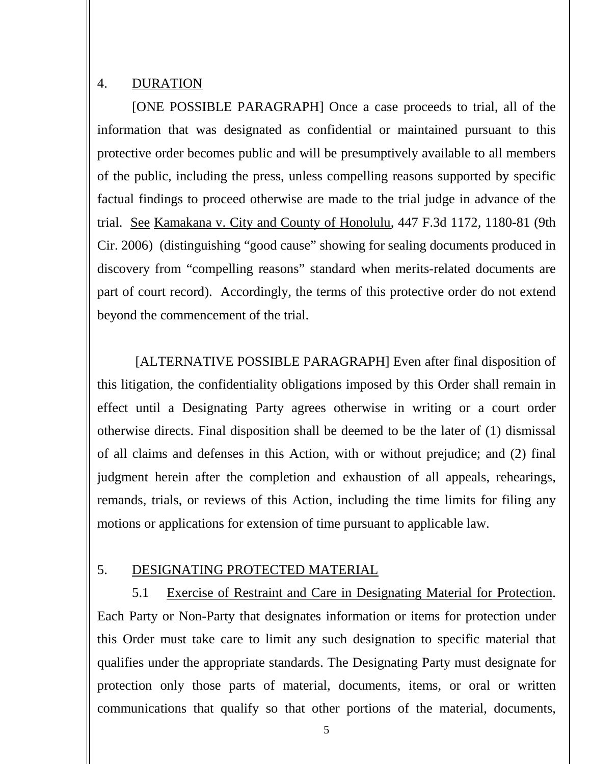## 4. DURATION

[ONE POSSIBLE PARAGRAPH] Once a case proceeds to trial, all of the information that was designated as confidential or maintained pursuant to this protective order becomes public and will be presumptively available to all members of the public, including the press, unless compelling reasons supported by specific factual findings to proceed otherwise are made to the trial judge in advance of the trial. See Kamakana v. City and County of Honolulu, 447 F.3d 1172, 1180-81 (9th Cir. 2006) (distinguishing "good cause" showing for sealing documents produced in discovery from "compelling reasons" standard when merits-related documents are part of court record). Accordingly, the terms of this protective order do not extend beyond the commencement of the trial.

[ALTERNATIVE POSSIBLE PARAGRAPH] Even after final disposition of this litigation, the confidentiality obligations imposed by this Order shall remain in effect until a Designating Party agrees otherwise in writing or a court order otherwise directs. Final disposition shall be deemed to be the later of (1) dismissal of all claims and defenses in this Action, with or without prejudice; and (2) final judgment herein after the completion and exhaustion of all appeals, rehearings, remands, trials, or reviews of this Action, including the time limits for filing any motions or applications for extension of time pursuant to applicable law.

# 5. DESIGNATING PROTECTED MATERIAL

5.1 Exercise of Restraint and Care in Designating Material for Protection. Each Party or Non-Party that designates information or items for protection under this Order must take care to limit any such designation to specific material that qualifies under the appropriate standards. The Designating Party must designate for protection only those parts of material, documents, items, or oral or written communications that qualify so that other portions of the material, documents,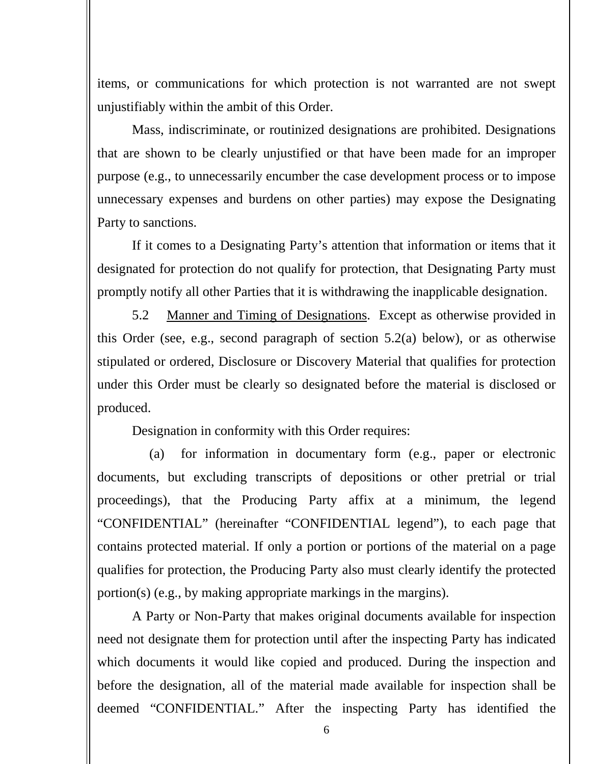items, or communications for which protection is not warranted are not swept unjustifiably within the ambit of this Order.

Mass, indiscriminate, or routinized designations are prohibited. Designations that are shown to be clearly unjustified or that have been made for an improper purpose (e.g., to unnecessarily encumber the case development process or to impose unnecessary expenses and burdens on other parties) may expose the Designating Party to sanctions.

If it comes to a Designating Party's attention that information or items that it designated for protection do not qualify for protection, that Designating Party must promptly notify all other Parties that it is withdrawing the inapplicable designation.

5.2 Manner and Timing of Designations. Except as otherwise provided in this Order (see, e.g., second paragraph of section 5.2(a) below), or as otherwise stipulated or ordered, Disclosure or Discovery Material that qualifies for protection under this Order must be clearly so designated before the material is disclosed or produced.

Designation in conformity with this Order requires:

(a) for information in documentary form (e.g., paper or electronic documents, but excluding transcripts of depositions or other pretrial or trial proceedings), that the Producing Party affix at a minimum, the legend "CONFIDENTIAL" (hereinafter "CONFIDENTIAL legend"), to each page that contains protected material. If only a portion or portions of the material on a page qualifies for protection, the Producing Party also must clearly identify the protected portion(s) (e.g., by making appropriate markings in the margins).

A Party or Non-Party that makes original documents available for inspection need not designate them for protection until after the inspecting Party has indicated which documents it would like copied and produced. During the inspection and before the designation, all of the material made available for inspection shall be deemed "CONFIDENTIAL." After the inspecting Party has identified the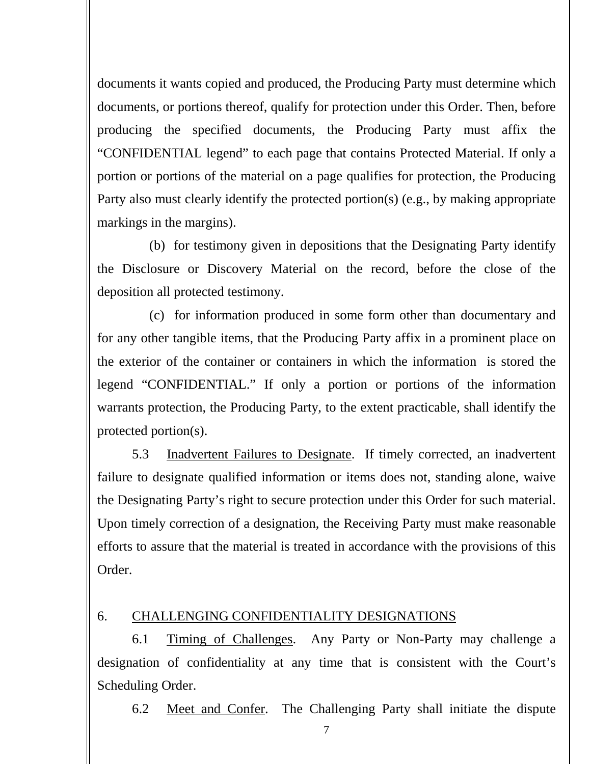documents it wants copied and produced, the Producing Party must determine which documents, or portions thereof, qualify for protection under this Order. Then, before producing the specified documents, the Producing Party must affix the "CONFIDENTIAL legend" to each page that contains Protected Material. If only a portion or portions of the material on a page qualifies for protection, the Producing Party also must clearly identify the protected portion(s) (e.g., by making appropriate markings in the margins).

(b) for testimony given in depositions that the Designating Party identify the Disclosure or Discovery Material on the record, before the close of the deposition all protected testimony.

(c) for information produced in some form other than documentary and for any other tangible items, that the Producing Party affix in a prominent place on the exterior of the container or containers in which the information is stored the legend "CONFIDENTIAL." If only a portion or portions of the information warrants protection, the Producing Party, to the extent practicable, shall identify the protected portion(s).

5.3 Inadvertent Failures to Designate. If timely corrected, an inadvertent failure to designate qualified information or items does not, standing alone, waive the Designating Party's right to secure protection under this Order for such material. Upon timely correction of a designation, the Receiving Party must make reasonable efforts to assure that the material is treated in accordance with the provisions of this Order.

# 6. CHALLENGING CONFIDENTIALITY DESIGNATIONS

6.1 Timing of Challenges. Any Party or Non-Party may challenge a designation of confidentiality at any time that is consistent with the Court's Scheduling Order.

6.2 Meet and Confer. The Challenging Party shall initiate the dispute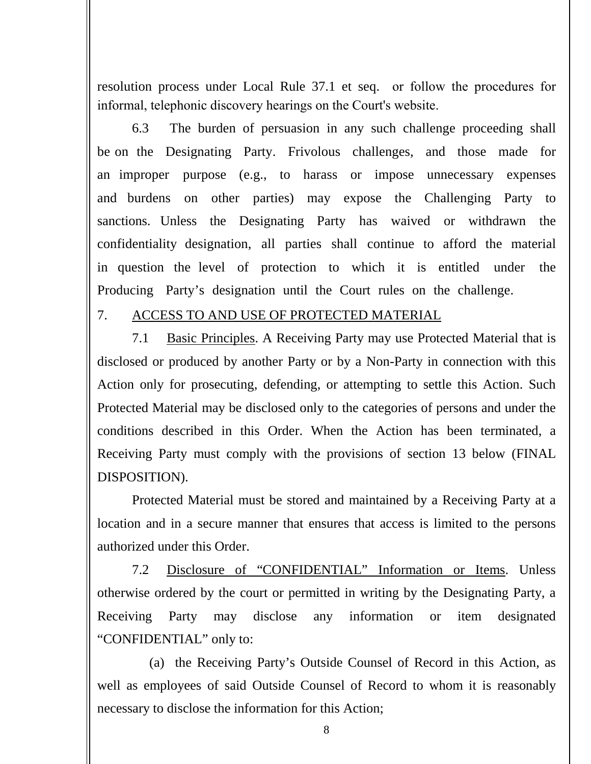resolution process under Local Rule 37.1 et seq. or follow the procedures for informal, telephonic discovery hearings on the Court's website.

6.3 The burden of persuasion in any such challenge proceeding shall be on the Designating Party. Frivolous challenges, and those made for an improper purpose (e.g., to harass or impose unnecessary expenses and burdens on other parties) may expose the Challenging Party to sanctions. Unless the Designating Party has waived or withdrawn the confidentiality designation, all parties shall continue to afford the material in question the level of protection to which it is entitled under the Producing Party's designation until the Court rules on the challenge.

### 7. ACCESS TO AND USE OF PROTECTED MATERIAL

7.1 Basic Principles. A Receiving Party may use Protected Material that is disclosed or produced by another Party or by a Non-Party in connection with this Action only for prosecuting, defending, or attempting to settle this Action. Such Protected Material may be disclosed only to the categories of persons and under the conditions described in this Order. When the Action has been terminated, a Receiving Party must comply with the provisions of section 13 below (FINAL DISPOSITION).

Protected Material must be stored and maintained by a Receiving Party at a location and in a secure manner that ensures that access is limited to the persons authorized under this Order.

7.2 Disclosure of "CONFIDENTIAL" Information or Items. Unless otherwise ordered by the court or permitted in writing by the Designating Party, a Receiving Party may disclose any information or item designated "CONFIDENTIAL" only to:

(a) the Receiving Party's Outside Counsel of Record in this Action, as well as employees of said Outside Counsel of Record to whom it is reasonably necessary to disclose the information for this Action;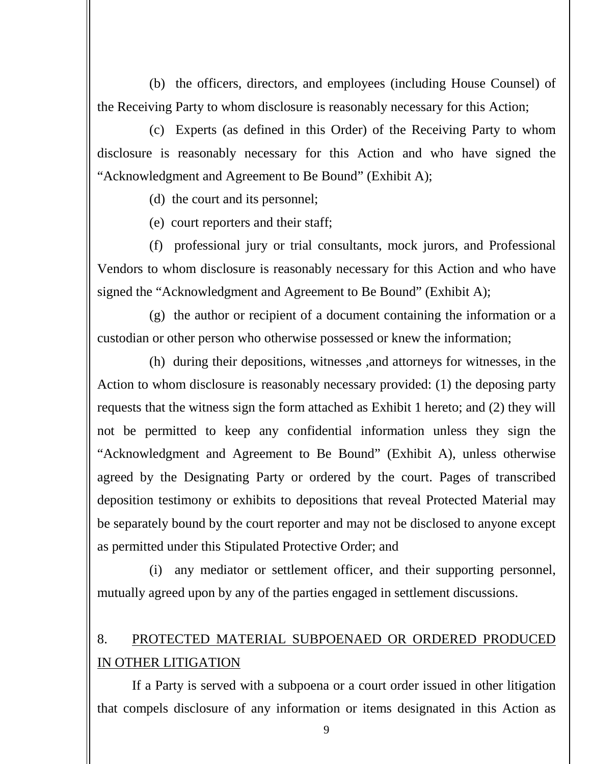(b) the officers, directors, and employees (including House Counsel) of the Receiving Party to whom disclosure is reasonably necessary for this Action;

(c) Experts (as defined in this Order) of the Receiving Party to whom disclosure is reasonably necessary for this Action and who have signed the "Acknowledgment and Agreement to Be Bound" (Exhibit A);

(d) the court and its personnel;

(e) court reporters and their staff;

(f) professional jury or trial consultants, mock jurors, and Professional Vendors to whom disclosure is reasonably necessary for this Action and who have signed the "Acknowledgment and Agreement to Be Bound" (Exhibit A);

(g) the author or recipient of a document containing the information or a custodian or other person who otherwise possessed or knew the information;

(h) during their depositions, witnesses ,and attorneys for witnesses, in the Action to whom disclosure is reasonably necessary provided: (1) the deposing party requests that the witness sign the form attached as Exhibit 1 hereto; and (2) they will not be permitted to keep any confidential information unless they sign the "Acknowledgment and Agreement to Be Bound" (Exhibit A), unless otherwise agreed by the Designating Party or ordered by the court. Pages of transcribed deposition testimony or exhibits to depositions that reveal Protected Material may be separately bound by the court reporter and may not be disclosed to anyone except as permitted under this Stipulated Protective Order; and

(i) any mediator or settlement officer, and their supporting personnel, mutually agreed upon by any of the parties engaged in settlement discussions.

# 8. PROTECTED MATERIAL SUBPOENAED OR ORDERED PRODUCED IN OTHER LITIGATION

If a Party is served with a subpoena or a court order issued in other litigation that compels disclosure of any information or items designated in this Action as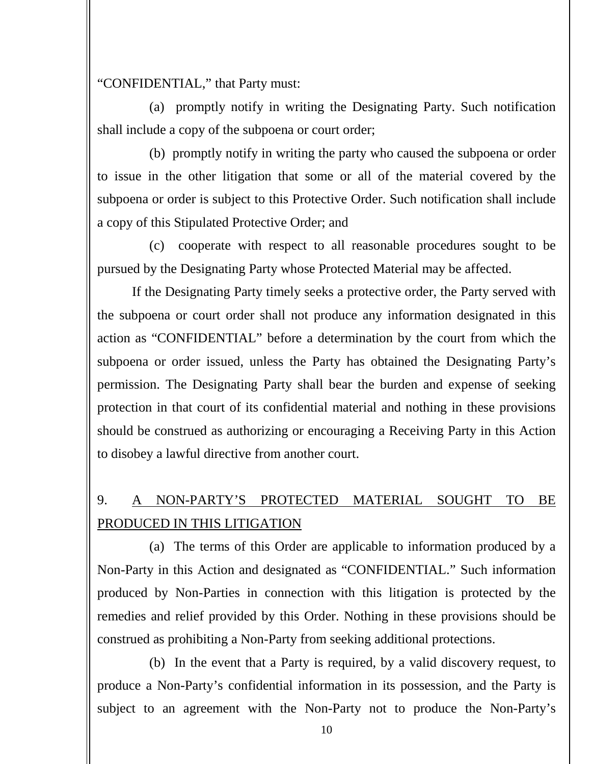"CONFIDENTIAL," that Party must:

(a) promptly notify in writing the Designating Party. Such notification shall include a copy of the subpoena or court order;

(b) promptly notify in writing the party who caused the subpoena or order to issue in the other litigation that some or all of the material covered by the subpoena or order is subject to this Protective Order. Such notification shall include a copy of this Stipulated Protective Order; and

(c) cooperate with respect to all reasonable procedures sought to be pursued by the Designating Party whose Protected Material may be affected.

If the Designating Party timely seeks a protective order, the Party served with the subpoena or court order shall not produce any information designated in this action as "CONFIDENTIAL" before a determination by the court from which the subpoena or order issued, unless the Party has obtained the Designating Party's permission. The Designating Party shall bear the burden and expense of seeking protection in that court of its confidential material and nothing in these provisions should be construed as authorizing or encouraging a Receiving Party in this Action to disobey a lawful directive from another court.

# 9. A NON-PARTY'S PROTECTED MATERIAL SOUGHT TO BE PRODUCED IN THIS LITIGATION

(a) The terms of this Order are applicable to information produced by a Non-Party in this Action and designated as "CONFIDENTIAL." Such information produced by Non-Parties in connection with this litigation is protected by the remedies and relief provided by this Order. Nothing in these provisions should be construed as prohibiting a Non-Party from seeking additional protections.

(b) In the event that a Party is required, by a valid discovery request, to produce a Non-Party's confidential information in its possession, and the Party is subject to an agreement with the Non-Party not to produce the Non-Party's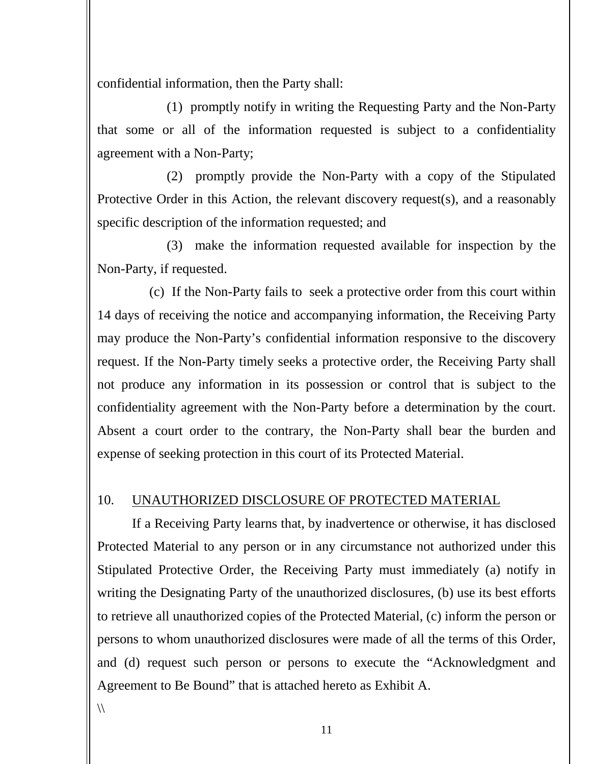confidential information, then the Party shall:

(1) promptly notify in writing the Requesting Party and the Non-Party that some or all of the information requested is subject to a confidentiality agreement with a Non-Party;

(2) promptly provide the Non-Party with a copy of the Stipulated Protective Order in this Action, the relevant discovery request(s), and a reasonably specific description of the information requested; and

(3) make the information requested available for inspection by the Non-Party, if requested.

(c) If the Non-Party fails to seek a protective order from this court within 14 days of receiving the notice and accompanying information, the Receiving Party may produce the Non-Party's confidential information responsive to the discovery request. If the Non-Party timely seeks a protective order, the Receiving Party shall not produce any information in its possession or control that is subject to the confidentiality agreement with the Non-Party before a determination by the court. Absent a court order to the contrary, the Non-Party shall bear the burden and expense of seeking protection in this court of its Protected Material.

#### 10. UNAUTHORIZED DISCLOSURE OF PROTECTED MATERIAL

If a Receiving Party learns that, by inadvertence or otherwise, it has disclosed Protected Material to any person or in any circumstance not authorized under this Stipulated Protective Order, the Receiving Party must immediately (a) notify in writing the Designating Party of the unauthorized disclosures, (b) use its best efforts to retrieve all unauthorized copies of the Protected Material, (c) inform the person or persons to whom unauthorized disclosures were made of all the terms of this Order, and (d) request such person or persons to execute the "Acknowledgment and Agreement to Be Bound" that is attached hereto as Exhibit A.

11

 $\sqrt{ }$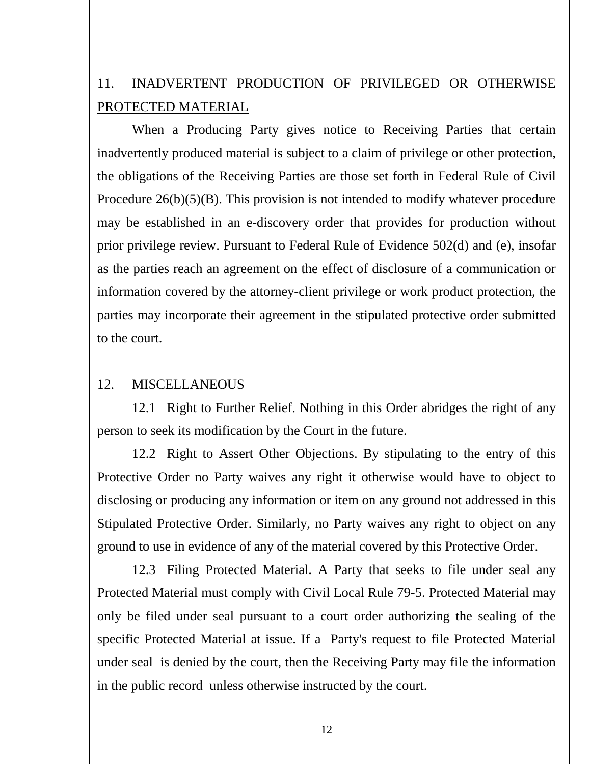# 11. INADVERTENT PRODUCTION OF PRIVILEGED OR OTHERWISE PROTECTED MATERIAL

When a Producing Party gives notice to Receiving Parties that certain inadvertently produced material is subject to a claim of privilege or other protection, the obligations of the Receiving Parties are those set forth in Federal Rule of Civil Procedure 26(b)(5)(B). This provision is not intended to modify whatever procedure may be established in an e-discovery order that provides for production without prior privilege review. Pursuant to Federal Rule of Evidence 502(d) and (e), insofar as the parties reach an agreement on the effect of disclosure of a communication or information covered by the attorney-client privilege or work product protection, the parties may incorporate their agreement in the stipulated protective order submitted to the court.

# 12. MISCELLANEOUS

12.1 Right to Further Relief. Nothing in this Order abridges the right of any person to seek its modification by the Court in the future.

12.2 Right to Assert Other Objections. By stipulating to the entry of this Protective Order no Party waives any right it otherwise would have to object to disclosing or producing any information or item on any ground not addressed in this Stipulated Protective Order. Similarly, no Party waives any right to object on any ground to use in evidence of any of the material covered by this Protective Order.

12.3 Filing Protected Material. A Party that seeks to file under seal any Protected Material must comply with Civil Local Rule 79-5. Protected Material may only be filed under seal pursuant to a court order authorizing the sealing of the specific Protected Material at issue. If a Party's request to file Protected Material under seal is denied by the court, then the Receiving Party may file the information in the public record unless otherwise instructed by the court.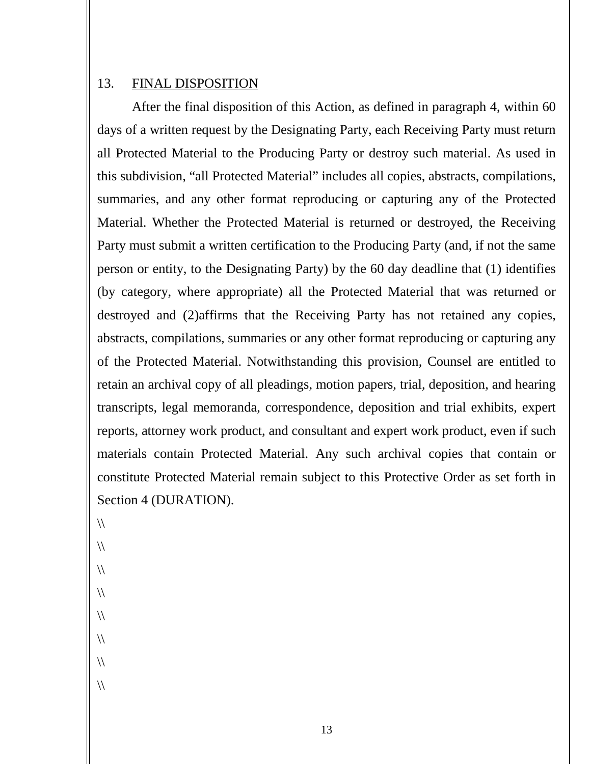# 13. FINAL DISPOSITION

After the final disposition of this Action, as defined in paragraph 4, within 60 days of a written request by the Designating Party, each Receiving Party must return all Protected Material to the Producing Party or destroy such material. As used in this subdivision, "all Protected Material" includes all copies, abstracts, compilations, summaries, and any other format reproducing or capturing any of the Protected Material. Whether the Protected Material is returned or destroyed, the Receiving Party must submit a written certification to the Producing Party (and, if not the same person or entity, to the Designating Party) by the 60 day deadline that (1) identifies (by category, where appropriate) all the Protected Material that was returned or destroyed and (2)affirms that the Receiving Party has not retained any copies, abstracts, compilations, summaries or any other format reproducing or capturing any of the Protected Material. Notwithstanding this provision, Counsel are entitled to retain an archival copy of all pleadings, motion papers, trial, deposition, and hearing transcripts, legal memoranda, correspondence, deposition and trial exhibits, expert reports, attorney work product, and consultant and expert work product, even if such materials contain Protected Material. Any such archival copies that contain or constitute Protected Material remain subject to this Protective Order as set forth in Section 4 (DURATION).

- $\sqrt{}$  $\backslash\backslash$  $\backslash\backslash$  $\backslash\backslash$  $\backslash\backslash$  $\backslash\backslash$  $\setminus$
- $\sqrt{}$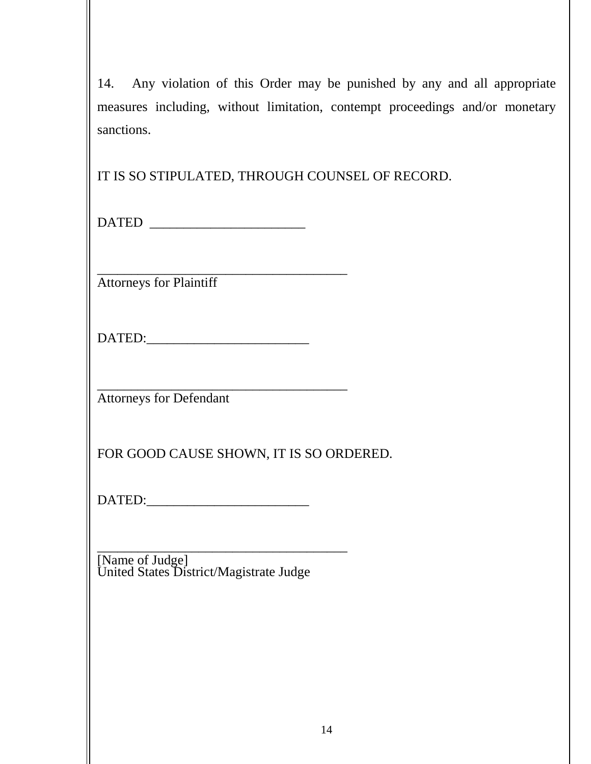14. Any violation of this Order may be punished by any and all appropriate measures including, without limitation, contempt proceedings and/or monetary sanctions.

IT IS SO STIPULATED, THROUGH COUNSEL OF RECORD.

DATED \_\_\_\_\_\_\_\_\_\_\_\_\_\_\_\_\_\_\_\_\_\_\_

\_\_\_\_\_\_\_\_\_\_\_\_\_\_\_\_\_\_\_\_\_\_\_\_\_\_\_\_\_\_\_\_\_\_\_\_\_ Attorneys for Plaintiff

DATED:\_\_\_\_\_\_\_\_\_\_\_\_\_\_\_\_\_\_\_\_\_\_\_\_

\_\_\_\_\_\_\_\_\_\_\_\_\_\_\_\_\_\_\_\_\_\_\_\_\_\_\_\_\_\_\_\_\_\_\_\_\_ Attorneys for Defendant

FOR GOOD CAUSE SHOWN, IT IS SO ORDERED.

DATED:\_\_\_\_\_\_\_\_\_\_\_\_\_\_\_\_\_\_\_\_\_\_\_\_

\_\_\_\_\_\_\_\_\_\_\_\_\_\_\_\_\_\_\_\_\_\_\_\_\_\_\_\_\_\_\_\_\_\_\_\_\_ [Name of Judge] United States District/Magistrate Judge